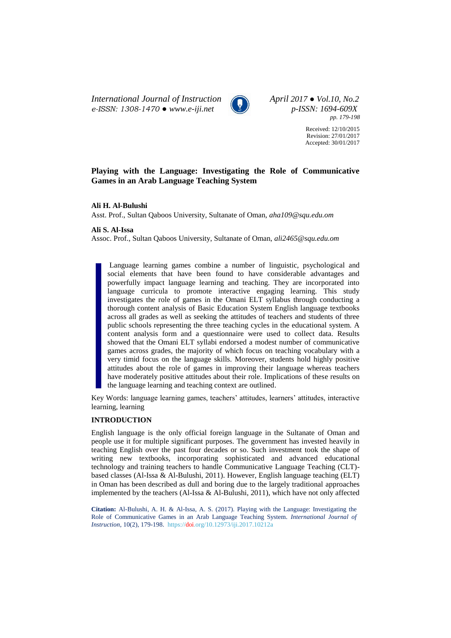*International Journal of Instruction April 2017 ● Vol.10, No.2 e-ISSN: 1308-1470 ● www.e-iji.net p-ISSN: 1694-609X*



*pp. 179-198*

Received: 12/10/2015 Revision: 27/01/2017 Accepted: 30/01/2017

# **Playing with the Language: Investigating the Role of Communicative Games in an Arab Language Teaching System**

## **Ali H. Al-Bulushi**

Asst. Prof., Sultan Qaboos University, Sultanate of Oman, *[aha109@squ.edu.om](mailto:aha109@squ.edu.om)*

**Ali S. Al-Issa**

Assoc. Prof., Sultan Qaboos University, Sultanate of Oman, *[ali2465@squ.edu.om](mailto:ali2465@squ.edu.om)*

Language learning games combine a number of linguistic, psychological and social elements that have been found to have considerable advantages and powerfully impact language learning and teaching. They are incorporated into language curricula to promote interactive engaging learning. This study investigates the role of games in the Omani ELT syllabus through conducting a thorough content analysis of Basic Education System English language textbooks across all grades as well as seeking the attitudes of teachers and students of three public schools representing the three teaching cycles in the educational system. A content analysis form and a questionnaire were used to collect data. Results showed that the Omani ELT syllabi endorsed a modest number of communicative games across grades, the majority of which focus on teaching vocabulary with a very timid focus on the language skills. Moreover, students hold highly positive attitudes about the role of games in improving their language whereas teachers have moderately positive attitudes about their role. Implications of these results on the language learning and teaching context are outlined.

Key Words: language learning games, teachers' attitudes, learners' attitudes, interactive learning, learning

# **INTRODUCTION**

English language is the only official foreign language in the Sultanate of Oman and people use it for multiple significant purposes. The government has invested heavily in teaching English over the past four decades or so. Such investment took the shape of writing new textbooks, incorporating sophisticated and advanced educational technology and training teachers to handle Communicative Language Teaching (CLT) based classes (Al-Issa & Al-Bulushi, 2011). However, English language teaching (ELT) in Oman has been described as dull and boring due to the largely traditional approaches implemented by the teachers (Al-Issa & Al-Bulushi, 2011), which have not only affected

**Citation:** Al-Bulushi, A. H. & Al-Issa, A. S. (2017). Playing with the Language: Investigating the Role of Communicative Games in an Arab Language Teaching System. *International Journal of Instruction*, 10(2), 179-198. https://doi.org/10.12973/iji.2017.10212a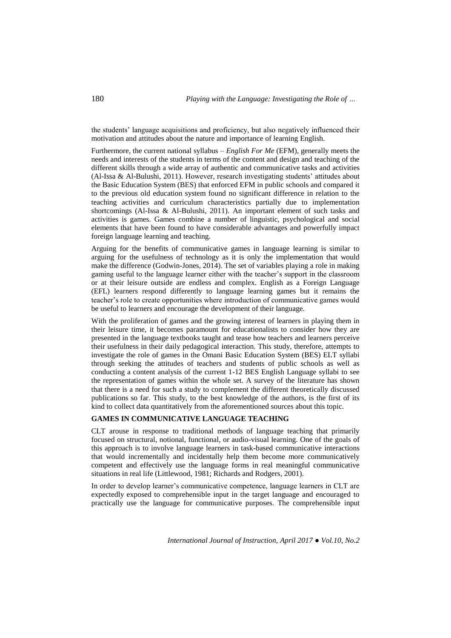the students' language acquisitions and proficiency, but also negatively influenced their motivation and attitudes about the nature and importance of learning English.

Furthermore, the current national syllabus – *English For Me* (EFM), generally meets the needs and interests of the students in terms of the content and design and teaching of the different skills through a wide array of authentic and communicative tasks and activities (Al-Issa & Al-Bulushi, 2011). However, research investigating students' attitudes about the Basic Education System (BES) that enforced EFM in public schools and compared it to the previous old education system found no significant difference in relation to the teaching activities and curriculum characteristics partially due to implementation shortcomings (Al-Issa & Al-Bulushi, 2011). An important element of such tasks and activities is games. Games combine a number of linguistic, psychological and social elements that have been found to have considerable advantages and powerfully impact foreign language learning and teaching.

Arguing for the benefits of communicative games in language learning is similar to arguing for the usefulness of technology as it is only the implementation that would make the difference (Godwin-Jones, 2014). The set of variables playing a role in making gaming useful to the language learner either with the teacher's support in the classroom or at their leisure outside are endless and complex. English as a Foreign Language (EFL) learners respond differently to language learning games but it remains the teacher's role to create opportunities where introduction of communicative games would be useful to learners and encourage the development of their language.

With the proliferation of games and the growing interest of learners in playing them in their leisure time, it becomes paramount for educationalists to consider how they are presented in the language textbooks taught and tease how teachers and learners perceive their usefulness in their daily pedagogical interaction. This study, therefore, attempts to investigate the role of games in the Omani Basic Education System (BES) ELT syllabi through seeking the attitudes of teachers and students of public schools as well as conducting a content analysis of the current 1-12 BES English Language syllabi to see the representation of games within the whole set. A survey of the literature has shown that there is a need for such a study to complement the different theoretically discussed publications so far. This study, to the best knowledge of the authors, is the first of its kind to collect data quantitatively from the aforementioned sources about this topic.

# **GAMES IN COMMUNICATIVE LANGUAGE TEACHING**

CLT arouse in response to traditional methods of language teaching that primarily focused on structural, notional, functional, or audio-visual learning. One of the goals of this approach is to involve language learners in task-based communicative interactions that would incrementally and incidentally help them become more communicatively competent and effectively use the language forms in real meaningful communicative situations in real life (Littlewood, 1981; Richards and Rodgers, 2001).

In order to develop learner's communicative competence, language learners in CLT are expectedly exposed to comprehensible input in the target language and encouraged to practically use the language for communicative purposes. The comprehensible input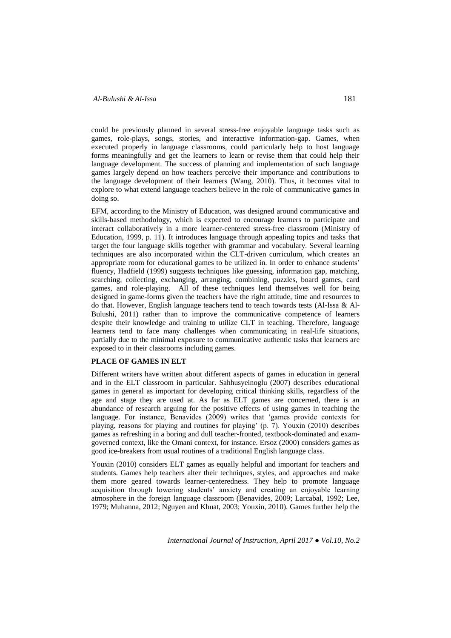could be previously planned in several stress-free enjoyable language tasks such as games, role-plays, songs, stories, and interactive information-gap. Games, when executed properly in language classrooms, could particularly help to host language forms meaningfully and get the learners to learn or revise them that could help their language development. The success of planning and implementation of such language games largely depend on how teachers perceive their importance and contributions to the language development of their learners (Wang, 2010). Thus, it becomes vital to explore to what extend language teachers believe in the role of communicative games in doing so.

EFM, according to the Ministry of Education, was designed around communicative and skills-based methodology, which is expected to encourage learners to participate and interact collaboratively in a more learner-centered stress-free classroom (Ministry of Education, 1999, p. 11). It introduces language through appealing topics and tasks that target the four language skills together with grammar and vocabulary. Several learning techniques are also incorporated within the CLT-driven curriculum, which creates an appropriate room for educational games to be utilized in. In order to enhance students' fluency, Hadfield (1999) suggests techniques like guessing, information gap, matching, searching, collecting, exchanging, arranging, combining, puzzles, board games, card games, and role-playing. All of these techniques lend themselves well for being designed in game-forms given the teachers have the right attitude, time and resources to do that. However, English language teachers tend to teach towards tests (Al-Issa & Al-Bulushi, 2011) rather than to improve the communicative competence of learners despite their knowledge and training to utilize CLT in teaching. Therefore, language learners tend to face many challenges when communicating in real-life situations, partially due to the minimal exposure to communicative authentic tasks that learners are exposed to in their classrooms including games.

## **PLACE OF GAMES IN ELT**

Different writers have written about different aspects of games in education in general and in the ELT classroom in particular. Sahhusyeinoglu (2007) describes educational games in general as important for developing critical thinking skills, regardless of the age and stage they are used at. As far as ELT games are concerned, there is an abundance of research arguing for the positive effects of using games in teaching the language. For instance, Benavides (2009) writes that 'games provide contexts for playing, reasons for playing and routines for playing' (p. 7). Youxin (2010) describes games as refreshing in a boring and dull teacher-fronted, textbook-dominated and examgoverned context, like the Omani context, for instance. Ersoz (2000) considers games as good ice-breakers from usual routines of a traditional English language class.

Youxin (2010) considers ELT games as equally helpful and important for teachers and students. Games help teachers alter their techniques, styles, and approaches and make them more geared towards learner-centeredness. They help to promote language acquisition through lowering students' anxiety and creating an enjoyable learning atmosphere in the foreign language classroom (Benavides, 2009; Larcabal, 1992; Lee, 1979; Muhanna, 2012; Nguyen and Khuat, 2003; Youxin, 2010). Games further help the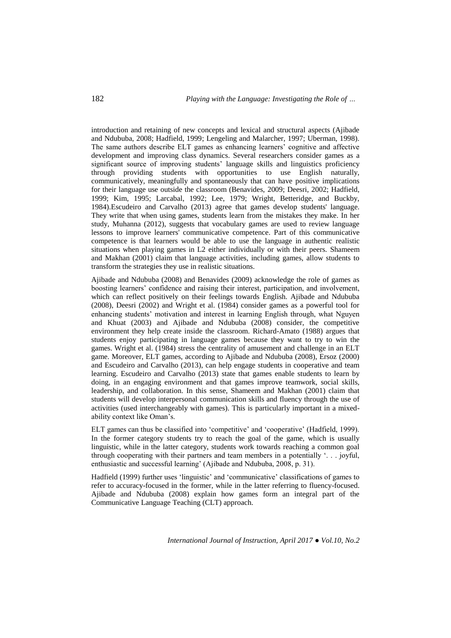introduction and retaining of new concepts and lexical and structural aspects (Ajibade and Ndububa, 2008; Hadfield, 1999; Lengeling and Malarcher, 1997; Uberman, 1998). The same authors describe ELT games as enhancing learners' cognitive and affective development and improving class dynamics. Several researchers consider games as a significant source of improving students' language skills and linguistics proficiency through providing students with opportunities to use English naturally, communicatively, meaningfully and spontaneously that can have positive implications for their language use outside the classroom (Benavides, 2009; Deesri, 2002; Hadfield, 1999; Kim, 1995; Larcabal, 1992; Lee, 1979; Wright, Betteridge, and Buckby, 1984).Escudeiro and Carvalho (2013) agree that games develop students' language. They write that when using games, students learn from the mistakes they make. In her study, Muhanna (2012), suggests that vocabulary games are used to review language lessons to improve learners' communicative competence. Part of this communicative competence is that learners would be able to use the language in authentic realistic situations when playing games in L2 either individually or with their peers. Shameem and Makhan (2001) claim that language activities, including games, allow students to transform the strategies they use in realistic situations.

Ajibade and Ndububa (2008) and Benavides (2009) acknowledge the role of games as boosting learners' confidence and raising their interest, participation, and involvement, which can reflect positively on their feelings towards English. Ajibade and Ndububa (2008), Deesri (2002) and Wright et al. (1984) consider games as a powerful tool for enhancing students' motivation and interest in learning English through, what Nguyen and Khuat (2003) and Ajibade and Ndububa (2008) consider, the competitive environment they help create inside the classroom. Richard-Amato (1988) argues that students enjoy participating in language games because they want to try to win the games. Wright et al. (1984) stress the centrality of amusement and challenge in an ELT game. Moreover, ELT games, according to Ajibade and Ndububa (2008), Ersoz (2000) and Escudeiro and Carvalho (2013), can help engage students in cooperative and team learning. Escudeiro and Carvalho (2013) state that games enable students to learn by doing, in an engaging environment and that games improve teamwork, social skills, leadership, and collaboration. In this sense, Shameem and Makhan (2001) claim that students will develop interpersonal communication skills and fluency through the use of activities (used interchangeably with games). This is particularly important in a mixedability context like Oman's.

ELT games can thus be classified into 'competitive' and 'cooperative' (Hadfield, 1999). In the former category students try to reach the goal of the game, which is usually linguistic, while in the latter category, students work towards reaching a common goal through cooperating with their partners and team members in a potentially '. . . joyful, enthusiastic and successful learning' (Ajibade and Ndububa, 2008, p. 31).

Hadfield (1999) further uses 'linguistic' and 'communicative' classifications of games to refer to accuracy-focused in the former, while in the latter referring to fluency-focused. Ajibade and Ndububa (2008) explain how games form an integral part of the Communicative Language Teaching (CLT) approach.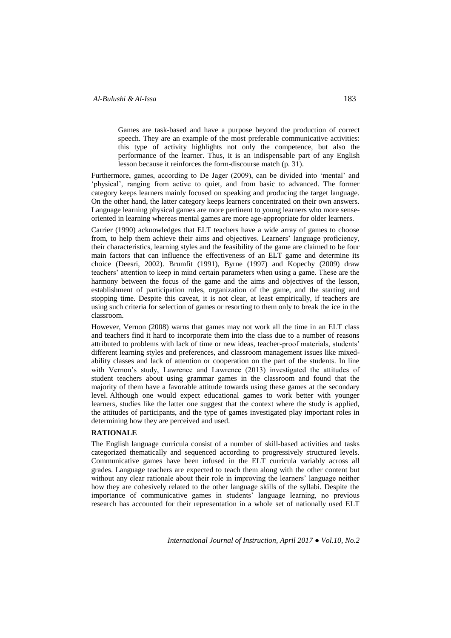Games are task-based and have a purpose beyond the production of correct speech. They are an example of the most preferable communicative activities: this type of activity highlights not only the competence, but also the performance of the learner. Thus, it is an indispensable part of any English lesson because it reinforces the form-discourse match (p. 31).

Furthermore, games, according to De Jager (2009), can be divided into 'mental' and 'physical', ranging from active to quiet, and from basic to advanced. The former category keeps learners mainly focused on speaking and producing the target language. On the other hand, the latter category keeps learners concentrated on their own answers. Language learning physical games are more pertinent to young learners who more senseoriented in learning whereas mental games are more age-appropriate for older learners.

Carrier (1990) acknowledges that ELT teachers have a wide array of games to choose from, to help them achieve their aims and objectives. Learners' language proficiency, their characteristics, learning styles and the feasibility of the game are claimed to be four main factors that can influence the effectiveness of an ELT game and determine its choice (Deesri, 2002). Brumfit (1991), Byrne (1997) and Kopechy (2009) draw teachers' attention to keep in mind certain parameters when using a game. These are the harmony between the focus of the game and the aims and objectives of the lesson, establishment of participation rules, organization of the game, and the starting and stopping time. Despite this caveat, it is not clear, at least empirically, if teachers are using such criteria for selection of games or resorting to them only to break the ice in the classroom.

However, Vernon (2008) warns that games may not work all the time in an ELT class and teachers find it hard to incorporate them into the class due to a number of reasons attributed to problems with lack of time or new ideas, teacher-proof materials, students' different learning styles and preferences, and classroom management issues like mixedability classes and lack of attention or cooperation on the part of the students. In line with Vernon's study, Lawrence and Lawrence (2013) investigated the attitudes of student teachers about using grammar games in the classroom and found that the majority of them have a favorable attitude towards using these games at the secondary level. Although one would expect educational games to work better with younger learners, studies like the latter one suggest that the context where the study is applied, the attitudes of participants, and the type of games investigated play important roles in determining how they are perceived and used.

# **RATIONALE**

The English language curricula consist of a number of skill-based activities and tasks categorized thematically and sequenced according to progressively structured levels. Communicative games have been infused in the ELT curricula variably across all grades. Language teachers are expected to teach them along with the other content but without any clear rationale about their role in improving the learners' language neither how they are cohesively related to the other language skills of the syllabi. Despite the importance of communicative games in students' language learning, no previous research has accounted for their representation in a whole set of nationally used ELT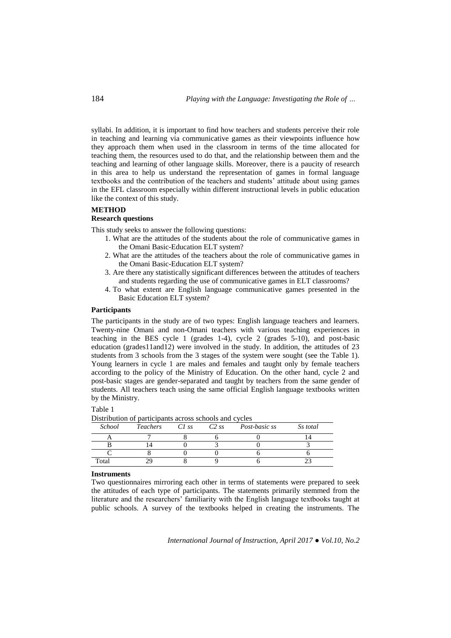syllabi. In addition, it is important to find how teachers and students perceive their role in teaching and learning via communicative games as their viewpoints influence how they approach them when used in the classroom in terms of the time allocated for teaching them, the resources used to do that, and the relationship between them and the teaching and learning of other language skills. Moreover, there is a paucity of research in this area to help us understand the representation of games in formal language textbooks and the contribution of the teachers and students' attitude about using games in the EFL classroom especially within different instructional levels in public education like the context of this study.

#### **METHOD**

## **Research questions**

This study seeks to answer the following questions:

- 1. What are the attitudes of the students about the role of communicative games in the Omani Basic-Education ELT system?
- 2. What are the attitudes of the teachers about the role of communicative games in the Omani Basic-Education ELT system?
- 3. Are there any statistically significant differences between the attitudes of teachers and students regarding the use of communicative games in ELT classrooms?
- 4. To what extent are English language communicative games presented in the Basic Education ELT system?

## **Participants**

The participants in the study are of two types: English language teachers and learners. Twenty-nine Omani and non-Omani teachers with various teaching experiences in teaching in the BES cycle 1 (grades 1-4), cycle 2 (grades 5-10), and post-basic education (grades11and12) were involved in the study. In addition, the attitudes of 23 students from 3 schools from the 3 stages of the system were sought (see the Table 1). Young learners in cycle 1 are males and females and taught only by female teachers according to the policy of the Ministry of Education. On the other hand, cycle 2 and post-basic stages are gender-separated and taught by teachers from the same gender of students. All teachers teach using the same official English language textbooks written by the Ministry.

Table 1

Distribution of participants across schools and cycles

| School | <b>Teachers</b> | $CI$ ss | $C2$ ss | Post-basic ss | Ss total |
|--------|-----------------|---------|---------|---------------|----------|
|        |                 |         |         |               |          |
|        |                 |         |         |               |          |
|        |                 |         |         |               |          |
| Total  |                 |         |         |               |          |

#### **Instruments**

Two questionnaires mirroring each other in terms of statements were prepared to seek the attitudes of each type of participants. The statements primarily stemmed from the literature and the researchers' familiarity with the English language textbooks taught at public schools. A survey of the textbooks helped in creating the instruments. The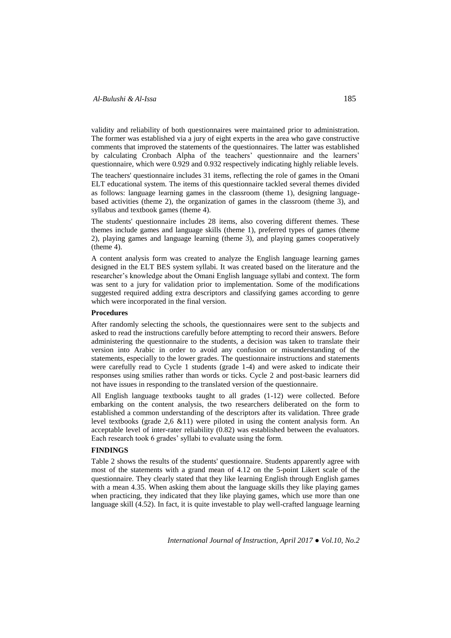validity and reliability of both questionnaires were maintained prior to administration. The former was established via a jury of eight experts in the area who gave constructive comments that improved the statements of the questionnaires. The latter was established by calculating Cronbach Alpha of the teachers' questionnaire and the learners' questionnaire, which were 0.929 and 0.932 respectively indicating highly reliable levels.

The teachers' questionnaire includes 31 items, reflecting the role of games in the Omani ELT educational system. The items of this questionnaire tackled several themes divided as follows: language learning games in the classroom (theme 1), designing languagebased activities (theme 2), the organization of games in the classroom (theme 3), and syllabus and textbook games (theme 4).

The students' questionnaire includes 28 items, also covering different themes. These themes include games and language skills (theme 1), preferred types of games (theme 2), playing games and language learning (theme 3), and playing games cooperatively  $($ theme 4 $).$ 

A content analysis form was created to analyze the English language learning games designed in the ELT BES system syllabi. It was created based on the literature and the researcher's knowledge about the Omani English language syllabi and context. The form was sent to a jury for validation prior to implementation. Some of the modifications suggested required adding extra descriptors and classifying games according to genre which were incorporated in the final version.

## **Procedures**

After randomly selecting the schools, the questionnaires were sent to the subjects and asked to read the instructions carefully before attempting to record their answers. Before administering the questionnaire to the students, a decision was taken to translate their version into Arabic in order to avoid any confusion or misunderstanding of the statements, especially to the lower grades. The questionnaire instructions and statements were carefully read to Cycle 1 students (grade 1-4) and were asked to indicate their responses using smilies rather than words or ticks. Cycle 2 and post-basic learners did not have issues in responding to the translated version of the questionnaire.

All English language textbooks taught to all grades (1-12) were collected. Before embarking on the content analysis, the two researchers deliberated on the form to established a common understanding of the descriptors after its validation. Three grade level textbooks (grade 2,6 &11) were piloted in using the content analysis form. An acceptable level of inter-rater reliability (0.82) was established between the evaluators. Each research took 6 grades' syllabi to evaluate using the form.

#### **FINDINGS**

Table 2 shows the results of the students' questionnaire. Students apparently agree with most of the statements with a grand mean of 4.12 on the 5-point Likert scale of the questionnaire. They clearly stated that they like learning English through English games with a mean 4.35. When asking them about the language skills they like playing games when practicing, they indicated that they like playing games, which use more than one language skill (4.52). In fact, it is quite investable to play well-crafted language learning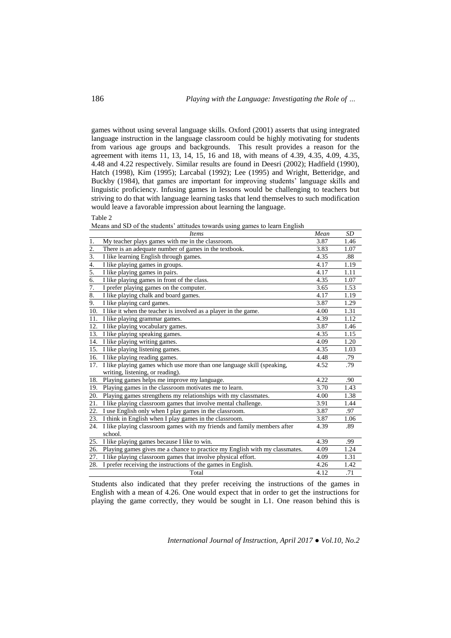games without using several language skills. Oxford (2001) asserts that using integrated language instruction in the language classroom could be highly motivating for students from various age groups and backgrounds. This result provides a reason for the agreement with items 11, 13, 14, 15, 16 and 18, with means of 4.39, 4.35, 4.09, 4.35, 4.48 and 4.22 respectively. Similar results are found in Deesri (2002); Hadfield (1990), Hatch (1998), Kim (1995); Larcabal (1992); Lee (1995) and Wright, Betteridge, and Buckby (1984), that games are important for improving students' language skills and linguistic proficiency. Infusing games in lessons would be challenging to teachers but striving to do that with language learning tasks that lend themselves to such modification would leave a favorable impression about learning the language.

## Table 2

Means and SD of the students' attitudes towards using games to learn English

|             | Items                                                                      | Mean | SD   |
|-------------|----------------------------------------------------------------------------|------|------|
| 1.          | My teacher plays games with me in the classroom.                           | 3.87 | 1.46 |
|             | There is an adequate number of games in the textbook.                      | 3.83 | 1.07 |
| $rac{2}{3}$ | I like learning English through games.                                     | 4.35 | .88  |
| 4.          | I like playing games in groups.                                            | 4.17 | 1.19 |
| 5.          | I like playing games in pairs.                                             | 4.17 | 1.11 |
| 6.          | I like playing games in front of the class.                                | 4.35 | 1.07 |
| 7.          | I prefer playing games on the computer.                                    | 3.65 | 1.53 |
| 8.          | I like playing chalk and board games.                                      | 4.17 | 1.19 |
| 9.          | I like playing card games.                                                 | 3.87 | 1.29 |
| 10.         | I like it when the teacher is involved as a player in the game.            | 4.00 | 1.31 |
| 11.         | I like playing grammar games.                                              | 4.39 | 1.12 |
| 12.         | I like playing vocabulary games.                                           | 3.87 | 1.46 |
| 13.         | I like playing speaking games.                                             | 4.35 | 1.15 |
| 14.         | I like playing writing games.                                              | 4.09 | 1.20 |
| 15.         | I like playing listening games.                                            | 4.35 | 1.03 |
| 16.         | I like playing reading games.                                              | 4.48 | .79  |
| 17.         | I like playing games which use more than one language skill (speaking,     | 4.52 | .79  |
|             | writing, listening, or reading).                                           |      |      |
| 18.         | Playing games helps me improve my language.                                | 4.22 | .90  |
| 19.         | Playing games in the classroom motivates me to learn.                      | 3.70 | 1.43 |
| 20.         | Playing games strengthens my relationships with my classmates.             | 4.00 | 1.38 |
| 21.         | I like playing classroom games that involve mental challenge.              | 3.91 | 1.44 |
| 22.         | I use English only when I play games in the classroom.                     | 3.87 | .97  |
| 23.         | I think in English when I play games in the classroom.                     | 3.87 | 1.06 |
| 24.         | I like playing classroom games with my friends and family members after    | 4.39 | .89  |
|             | school.                                                                    |      |      |
| 25.         | I like playing games because I like to win.                                | 4.39 | .99  |
| 26.         | Playing games gives me a chance to practice my English with my classmates. | 4.09 | 1.24 |
| 27.         | I like playing classroom games that involve physical effort.               | 4.09 | 1.31 |
| 28.         | I prefer receiving the instructions of the games in English.               | 4.26 | 1.42 |
|             | Total                                                                      | 4.12 | .71  |

Students also indicated that they prefer receiving the instructions of the games in English with a mean of 4.26. One would expect that in order to get the instructions for playing the game correctly, they would be sought in L1. One reason behind this is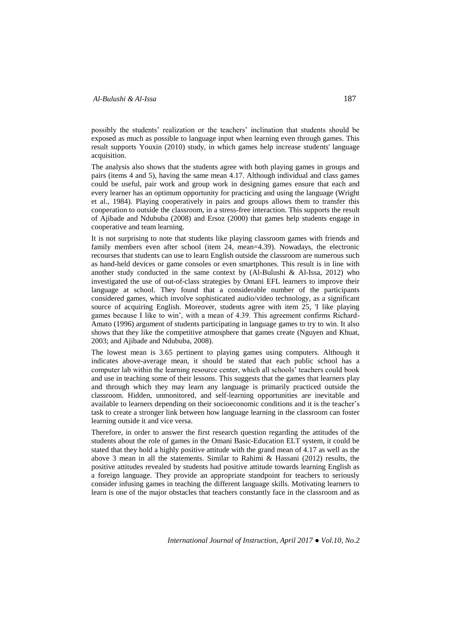possibly the students' realization or the teachers' inclination that students should be exposed as much as possible to language input when learning even through games. This result supports Youxin (2010) study, in which games help increase students' language acquisition.

The analysis also shows that the students agree with both playing games in groups and pairs (items 4 and 5), having the same mean 4.17. Although individual and class games could be useful, pair work and group work in designing games ensure that each and every learner has an optimum opportunity for practicing and using the language (Wright et al., 1984). Playing cooperatively in pairs and groups allows them to transfer this cooperation to outside the classroom, in a stress-free interaction. This supports the result of Ajibade and Ndububa (2008) and Ersoz (2000) that games help students engage in cooperative and team learning.

It is not surprising to note that students like playing classroom games with friends and family members even after school (item 24, mean=4.39). Nowadays, the electronic recourses that students can use to learn English outside the classroom are numerous such as hand-held devices or game consoles or even smartphones. This result is in line with another study conducted in the same context by  $(AI-Bulushi \& Al-Issa, 2012)$  who investigated the use of out-of-class strategies by Omani EFL learners to improve their language at school. They found that a considerable number of the participants considered games, which involve sophisticated audio/video technology, as a significant source of acquiring English. Moreover, students agree with item 25, 'I like playing games because I like to win', with a mean of 4.39. This agreement confirms Richard-Amato (1996) argument of students participating in language games to try to win. It also shows that they like the competitive atmosphere that games create (Nguyen and Khuat, 2003; and Ajibade and Ndububa, 2008).

The lowest mean is 3.65 pertinent to playing games using computers. Although it indicates above-average mean, it should be stated that each public school has a computer lab within the learning resource center, which all schools' teachers could book and use in teaching some of their lessons. This suggests that the games that learners play and through which they may learn any language is primarily practiced outside the classroom. Hidden, unmonitored, and self-learning opportunities are inevitable and available to learners depending on their socioeconomic conditions and it is the teacher's task to create a stronger link between how language learning in the classroom can foster learning outside it and vice versa.

Therefore, in order to answer the first research question regarding the attitudes of the students about the role of games in the Omani Basic-Education ELT system, it could be stated that they hold a highly positive attitude with the grand mean of 4.17 as well as the above 3 mean in all the statements. Similar to Rahimi & Hassani (2012) results, the positive attitudes revealed by students had positive attitude towards learning English as a foreign language. They provide an appropriate standpoint for teachers to seriously consider infusing games in teaching the different language skills. Motivating learners to learn is one of the major obstacles that teachers constantly face in the classroom and as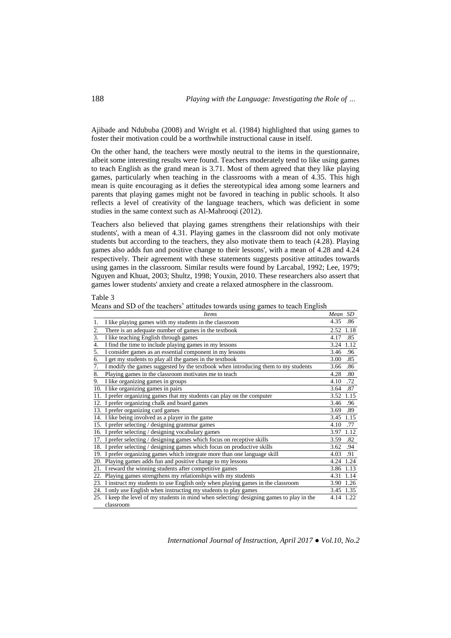Ajibade and Ndububa (2008) and Wright et al. (1984) highlighted that using games to foster their motivation could be a worthwhile instructional cause in itself.

On the other hand, the teachers were mostly neutral to the items in the questionnaire, albeit some interesting results were found. Teachers moderately tend to like using games to teach English as the grand mean is 3.71. Most of them agreed that they like playing games, particularly when teaching in the classrooms with a mean of 4.35. This high mean is quite encouraging as it defies the stereotypical idea among some learners and parents that playing games might not be favored in teaching in public schools. It also reflects a level of creativity of the language teachers, which was deficient in some studies in the same context such as Al-Mahrooqi (2012).

Teachers also believed that playing games strengthens their relationships with their students', with a mean of 4.31. Playing games in the classroom did not only motivate students but according to the teachers, they also motivate them to teach (4.28). Playing games also adds fun and positive change to their lessons', with a mean of 4.28 and 4.24 respectively. Their agreement with these statements suggests positive attitudes towards using games in the classroom. Similar results were found by Larcabal, 1992; Lee, 1979; Nguyen and Khuat, 2003; Shultz, 1998; Youxin, 2010. These researchers also assert that games lower students' anxiety and create a relaxed atmosphere in the classroom.

## Table 3

Means and SD of the teachers' attitudes towards using games to teach English

|                  | <i>Items</i>                                                                              | Mean SD      |
|------------------|-------------------------------------------------------------------------------------------|--------------|
| 1.               | I like playing games with my students in the classroom                                    | 4.35<br>.86  |
| $\overline{2}$ . | There is an adequate number of games in the textbook                                      | 1.18<br>2.52 |
| 3.               | I like teaching English through games                                                     | .85<br>4.17  |
| 4.               | I find the time to include playing games in my lessons                                    | 3.24<br>1.12 |
| 5.               | I consider games as an essential component in my lessons                                  | 3.46<br>.96  |
| 6.               | I get my students to play all the games in the textbook                                   | .85<br>3.00  |
| $\overline{7}$ . | I modify the games suggested by the textbook when introducing them to my students         | .86<br>3.66  |
| 8.               | Playing games in the classroom motivates me to teach                                      | .80<br>4.28  |
| 9.               | I like organizing games in groups                                                         | .72<br>4.10  |
|                  | 10. I like organizing games in pairs                                                      | .87<br>3.64  |
|                  | 11. I prefer organizing games that my students can play on the computer                   | 1.15<br>3.52 |
|                  | 12. I prefer organizing chalk and board games                                             | .96<br>3.46  |
|                  | 13. I prefer organizing card games                                                        | 3.69<br>.89  |
|                  | 14. I like being involved as a player in the game                                         | 3.45<br>1.15 |
|                  | 15. I prefer selecting / designing grammar games                                          | .77<br>4.10  |
|                  | 16. I prefer selecting / designing vocabulary games                                       | 1.12<br>3.97 |
|                  | 17. I prefer selecting / designing games which focus on receptive skills                  | .82<br>3.59  |
|                  | 18. I prefer selecting / designing games which focus on productive skills                 | 3.62<br>.94  |
|                  | 19. I prefer organizing games which integrate more than one language skill                | 4.03<br>.91  |
|                  | 20. Playing games adds fun and positive change to my lessons                              | 4.24 1.24    |
|                  | 21. I reward the winning students after competitive games                                 | 3.86 1.13    |
|                  | 22. Playing games strengthens my relationships with my students                           | 1.14<br>4.31 |
|                  | 23. I instruct my students to use English only when playing games in the classroom        | 3.90 1.26    |
|                  | 24. I only use English when instructing my students to play games                         | 3.45 1.35    |
|                  | 25. I keep the level of my students in mind when selecting/designing games to play in the | 4.14 1.22    |
|                  | classroom                                                                                 |              |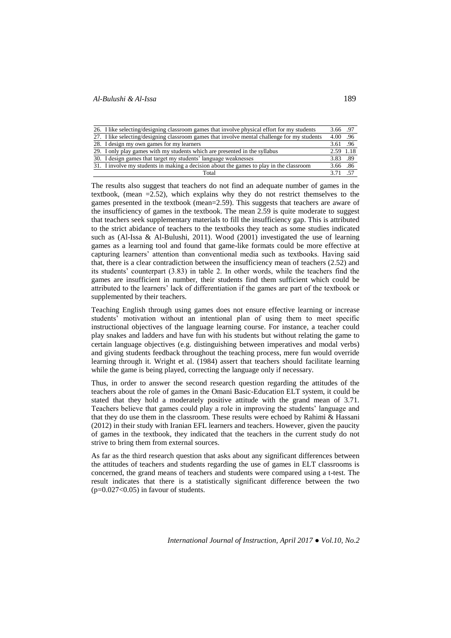| 26. I like selecting/designing classroom games that involve physical effort for my students  | 3.66 .97  |  |
|----------------------------------------------------------------------------------------------|-----------|--|
| 27. I like selecting/designing classroom games that involve mental challenge for my students | 4.00 .96  |  |
| 28. I design my own games for my learners                                                    | 3.61 .96  |  |
| 29. I only play games with my students which are presented in the syllabus                   | 2.59 1.18 |  |
| 30. I design games that target my students' language weaknesses                              | 3.83 .89  |  |
| 31. I involve my students in making a decision about the games to play in the classroom      | 3.66 .86  |  |
| Total                                                                                        | 3.71 57   |  |

The results also suggest that teachers do not find an adequate number of games in the textbook, (mean =2.52), which explains why they do not restrict themselves to the games presented in the textbook (mean=2.59). This suggests that teachers are aware of the insufficiency of games in the textbook. The mean 2.59 is quite moderate to suggest that teachers seek supplementary materials to fill the insufficiency gap. This is attributed to the strict abidance of teachers to the textbooks they teach as some studies indicated such as (Al-Issa & Al-Bulushi, 2011). Wood (2001) investigated the use of learning games as a learning tool and found that game-like formats could be more effective at capturing learners' attention than conventional media such as textbooks. Having said that, there is a clear contradiction between the insufficiency mean of teachers (2.52) and its students' counterpart (3.83) in table 2. In other words, while the teachers find the games are insufficient in number, their students find them sufficient which could be attributed to the learners' lack of differentiation if the games are part of the textbook or supplemented by their teachers.

Teaching English through using games does not ensure effective learning or increase students' motivation without an intentional plan of using them to meet specific instructional objectives of the language learning course. For instance, a teacher could play snakes and ladders and have fun with his students but without relating the game to certain language objectives (e.g. distinguishing between imperatives and modal verbs) and giving students feedback throughout the teaching process, mere fun would override learning through it. Wright et al. (1984) assert that teachers should facilitate learning while the game is being played, correcting the language only if necessary.

Thus, in order to answer the second research question regarding the attitudes of the teachers about the role of games in the Omani Basic-Education ELT system, it could be stated that they hold a moderately positive attitude with the grand mean of 3.71. Teachers believe that games could play a role in improving the students' language and that they do use them in the classroom. These results were echoed by Rahimi & Hassani (2012) in their study with Iranian EFL learners and teachers. However, given the paucity of games in the textbook, they indicated that the teachers in the current study do not strive to bring them from external sources.

As far as the third research question that asks about any significant differences between the attitudes of teachers and students regarding the use of games in ELT classrooms is concerned, the grand means of teachers and students were compared using a t-test. The result indicates that there is a statistically significant difference between the two  $(p=0.027<0.05)$  in favour of students.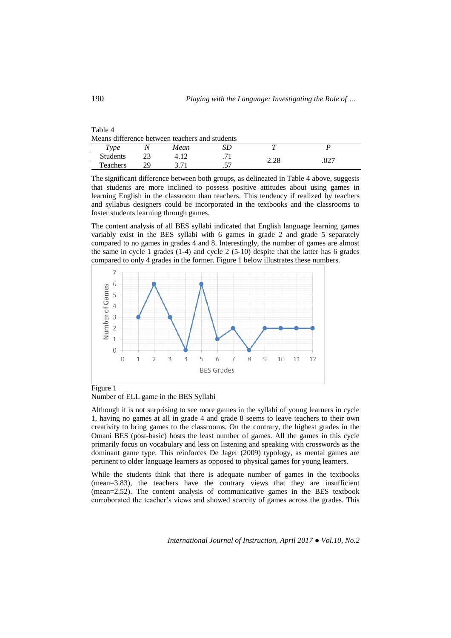| Table 4                                        |              |            |  |
|------------------------------------------------|--------------|------------|--|
| Means difference between teachers and students |              |            |  |
| $T_{\rm{3100}}$                                | $\mathbf{M}$ | $M_{2012}$ |  |

| $\mathbf{r}$<br><i>vne</i> |          | Mean                      | $\sim$ $\sim$<br>ມມ | <u>т</u>                        |                            |
|----------------------------|----------|---------------------------|---------------------|---------------------------------|----------------------------|
| <b>Students</b>            | ر_       | 1 <sub>0</sub>            |                     | റ ററ                            | 222                        |
| Teachers                   | <u>.</u> | $\sim$ $\sim$<br><u>.</u> | --<br>$\sim$        | $\overline{L}$ . $\overline{L}$ | $\cdot$ v $\overline{ }$ . |

The significant difference between both groups, as delineated in Table 4 above, suggests that students are more inclined to possess positive attitudes about using games in learning English in the classroom than teachers. This tendency if realized by teachers and syllabus designers could be incorporated in the textbooks and the classrooms to foster students learning through games.

The content analysis of all BES syllabi indicated that English language learning games variably exist in the BES syllabi with 6 games in grade 2 and grade 5 separately compared to no games in grades 4 and 8. Interestingly, the number of games are almost the same in cycle 1 grades (1-4) and cycle 2 (5-10) despite that the latter has 6 grades compared to only 4 grades in the former. Figure 1 below illustrates these numbers.



Figure 1

Number of ELL game in the BES Syllabi

Although it is not surprising to see more games in the syllabi of young learners in cycle 1, having no games at all in grade 4 and grade 8 seems to leave teachers to their own creativity to bring games to the classrooms. On the contrary, the highest grades in the Omani BES (post-basic) hosts the least number of games. All the games in this cycle primarily focus on vocabulary and less on listening and speaking with crosswords as the dominant game type. This reinforces De Jager (2009) typology, as mental games are pertinent to older language learners as opposed to physical games for young learners.

While the students think that there is adequate number of games in the textbooks (mean=3.83), the teachers have the contrary views that they are insufficient (mean=2.52). The content analysis of communicative games in the BES textbook corroborated the teacher's views and showed scarcity of games across the grades. This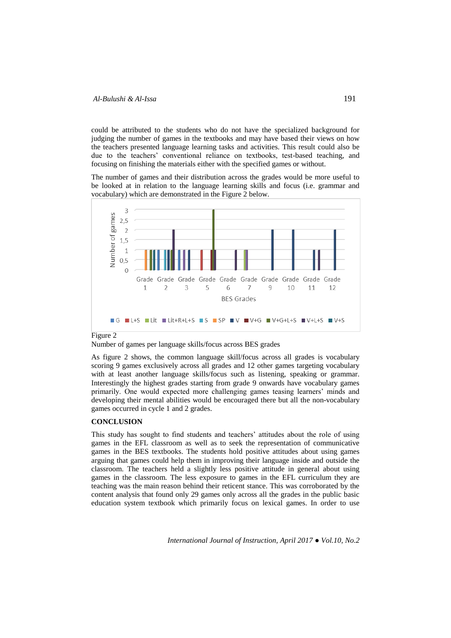could be attributed to the students who do not have the specialized background for judging the number of games in the textbooks and may have based their views on how the teachers presented language learning tasks and activities. This result could also be due to the teachers' conventional reliance on textbooks, test-based teaching, and focusing on finishing the materials either with the specified games or without.

The number of games and their distribution across the grades would be more useful to be looked at in relation to the language learning skills and focus (i.e. grammar and vocabulary) which are demonstrated in the Figure 2 below.



## Figure 2

Number of games per language skills/focus across BES grades

As figure 2 shows, the common language skill/focus across all grades is vocabulary scoring 9 games exclusively across all grades and 12 other games targeting vocabulary with at least another language skills/focus such as listening, speaking or grammar. Interestingly the highest grades starting from grade 9 onwards have vocabulary games primarily. One would expected more challenging games teasing learners' minds and developing their mental abilities would be encouraged there but all the non-vocabulary games occurred in cycle 1 and 2 grades.

## **CONCLUSION**

This study has sought to find students and teachers' attitudes about the role of using games in the EFL classroom as well as to seek the representation of communicative games in the BES textbooks. The students hold positive attitudes about using games arguing that games could help them in improving their language inside and outside the classroom. The teachers held a slightly less positive attitude in general about using games in the classroom. The less exposure to games in the EFL curriculum they are teaching was the main reason behind their reticent stance. This was corroborated by the content analysis that found only 29 games only across all the grades in the public basic education system textbook which primarily focus on lexical games. In order to use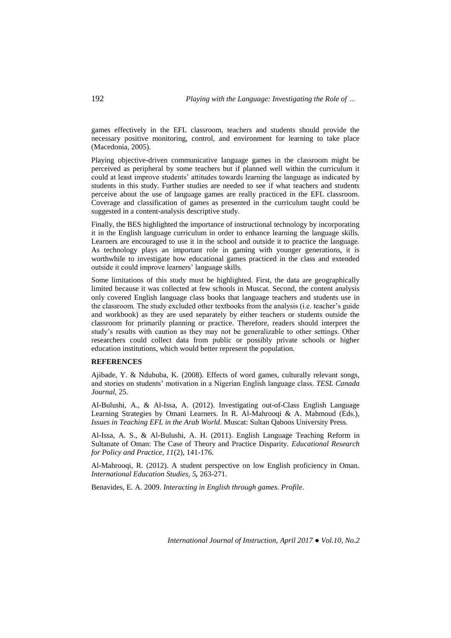games effectively in the EFL classroom, teachers and students should provide the necessary positive monitoring, control, and environment for learning to take place (Macedonia, 2005).

Playing objective-driven communicative language games in the classroom might be perceived as peripheral by some teachers but if planned well within the curriculum it could at least improve students' attitudes towards learning the language as indicated by students in this study. Further studies are needed to see if what teachers and students perceive about the use of language games are really practiced in the EFL classroom. Coverage and classification of games as presented in the curriculum taught could be suggested in a content-analysis descriptive study.

Finally, the BES highlighted the importance of instructional technology by incorporating it in the English language curriculum in order to enhance learning the language skills. Learners are encouraged to use it in the school and outside it to practice the language. As technology plays an important role in gaming with younger generations, it is worthwhile to investigate how educational games practiced in the class and extended outside it could improve learners' language skills.

Some limitations of this study must be highlighted. First, the data are geographically limited because it was collected at few schools in Muscat. Second, the content analysis only covered English language class books that language teachers and students use in the classroom. The study excluded other textbooks from the analysis (i.e. teacher's guide and workbook) as they are used separately by either teachers or students outside the classroom for primarily planning or practice. Therefore, readers should interpret the study's results with caution as they may not be generalizable to other settings. Other researchers could collect data from public or possibly private schools or higher education institutions, which would better represent the population.

## **REFERENCES**

Ajibade, Y. & Ndububa, K. (2008). Effects of word games, culturally relevant songs, and stories on students' motivation in a Nigerian English language class. *TESL Canada Journal,* 25.

Al-Bulushi, A., & Al-Issa, A. (2012). Investigating out-of-Class English Language Learning Strategies by Omani Learners. In R. Al-Mahrooqi & A. Mahmoud (Eds.), *Issues in Teaching EFL in the Arab World*. Muscat: Sultan Qaboos University Press.

Al-Issa, A. S., & Al-Bulushi, A. H. (2011). English Language Teaching Reform in Sultanate of Oman: The Case of Theory and Practice Disparity. *Educational Research for Policy and Practice, 11*(2), 141-176.

Al-Mahrooqi, R. (2012). A student perspective on low English proficiency in Oman. *International Education Studies, 5,* 263-271.

Benavides, E. A. 2009. *Interacting in English through games*. *Profile*.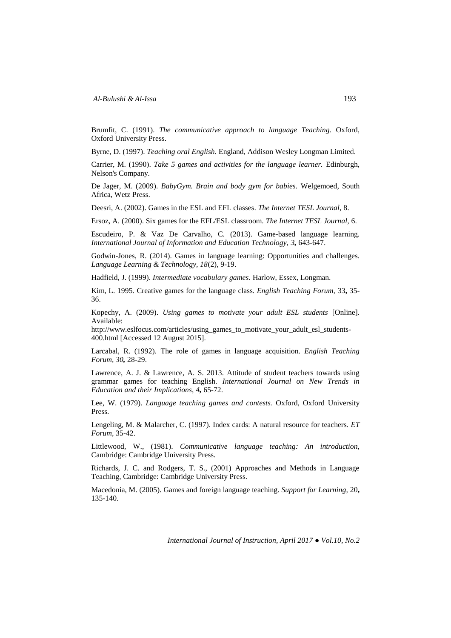Brumfit, C. (1991). *The communicative approach to language Teaching.* Oxford, Oxford University Press.

Byrne, D. (1997). *Teaching oral English.* England, Addison Wesley Longman Limited.

Carrier, M. (1990). *Take 5 games and activities for the language learner.* Edinburgh, Nelson's Company.

De Jager, M. (2009). *BabyGym. Brain and body gym for babies.* Welgemoed, South Africa, Wetz Press.

Deesri, A. (2002). Games in the ESL and EFL classes. *The Internet TESL Journal,* 8.

Ersoz, A. (2000). Six games for the EFL/ESL classroom. *The Internet TESL Journal,* 6.

Escudeiro, P. & Vaz De Carvalho, C. (2013). Game-based language learning. *International Journal of Information and Education Technology, 3,* 643-647.

Godwin-Jones, R. (2014). Games in language learning: Opportunities and challenges. *Language Learning & Technology, 18*(2), 9-19.

Hadfield, J. (1999). *Intermediate vocabulary games.* Harlow, Essex, Longman.

Kim, L. 1995. Creative games for the language class. *English Teaching Forum,* 33**,** 35- 36.

Kopechy, A. (2009). *Using games to motivate your adult ESL students* [Online]. Available:

http://www.eslfocus.com/articles/using\_games\_to\_motivate\_your\_adult\_esl\_students-400.html [Accessed 12 August 2015].

Larcabal, R. (1992). The role of games in language acquisition. *English Teaching Forum, 30,* 28-29.

Lawrence, A. J. & Lawrence, A. S. 2013. Attitude of student teachers towards using grammar games for teaching English. *International Journal on New Trends in Education and their Implications, 4,* 65-72.

Lee, W. (1979). *Language teaching games and contests.* Oxford, Oxford University Press.

Lengeling, M. & Malarcher, C. (1997). Index cards: A natural resource for teachers. *ET Forum,* 35-42.

Littlewood, W., (1981). *Communicative language teaching: An introduction*, Cambridge: Cambridge University Press.

Richards, J. C. and Rodgers, T. S., (2001) Approaches and Methods in Language Teaching, Cambridge: Cambridge University Press.

Macedonia, M. (2005). Games and foreign language teaching. *Support for Learning,* 20**,** 135-140.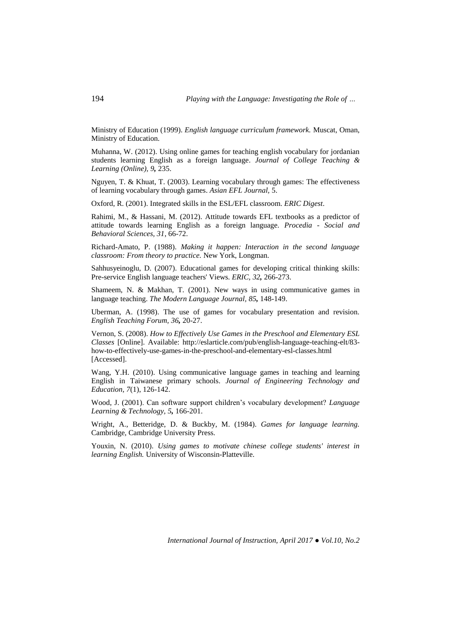Ministry of Education (1999). *English language curriculum framework.* Muscat, Oman, Ministry of Education.

Muhanna, W. (2012). Using online games for teaching english vocabulary for jordanian students learning English as a foreign language. *Journal of College Teaching & Learning (Online), 9,* 235.

Nguyen, T. & Khuat, T. (2003). Learning vocabulary through games: The effectiveness of learning vocabulary through games. *Asian EFL Journal,* 5.

Oxford, R. (2001). Integrated skills in the ESL/EFL classroom. *ERIC Digest*.

Rahimi, M., & Hassani, M. (2012). Attitude towards EFL textbooks as a predictor of attitude towards learning English as a foreign language. *Procedia - Social and Behavioral Sciences, 31*, 66-72.

Richard-Amato, P. (1988). *Making it happen: Interaction in the second language classroom: From theory to practice.* New York, Longman.

Sahhusyeinoglu, D. (2007). Educational games for developing critical thinking skills: Pre-service English language teachers' Views. *ERIC, 32,* 266-273.

Shameem, N. & Makhan, T. (2001). New ways in using communicative games in language teaching. *The Modern Language Journal, 85,* 148-149.

Uberman, A. (1998). The use of games for vocabulary presentation and revision. *English Teaching Forum, 36,* 20-27.

Vernon, S. (2008). *How to Effectively Use Games in the Preschool and Elementary ESL Classes* [Online]. Available: http://eslarticle.com/pub/english-language-teaching-elt/83 how-to-effectively-use-games-in-the-preschool-and-elementary-esl-classes.html [Accessed].

Wang, Y.H. (2010). Using communicative language games in teaching and learning English in Taiwanese primary schools. *Journal of Engineering Technology and Education, 7*(1), 126-142.

Wood, J. (2001). Can software support children's vocabulary development? *Language Learning & Technology, 5,* 166-201.

Wright, A., Betteridge, D. & Buckby, M. (1984). *Games for language learning.* Cambridge, Cambridge University Press.

Youxin, N. (2010). *Using games to motivate chinese college students' interest in learning English.* University of Wisconsin-Platteville.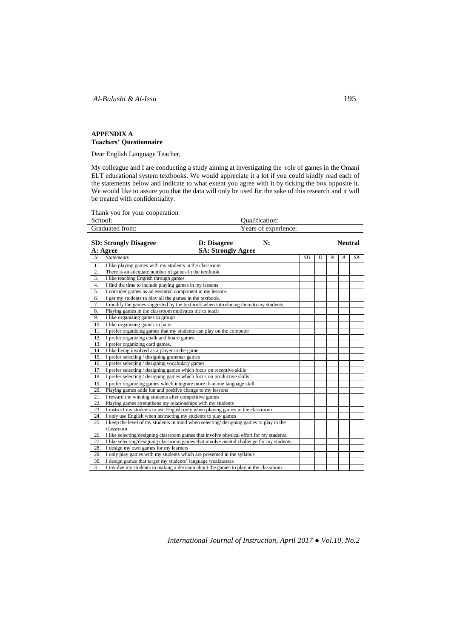### **APPENDIX A Teachers' Questionnaire**

Dear English Language Teacher,

My colleague and I are conducting a study aiming at investigating the role of games in the Omani ELT educational system textbooks. We would appreciate it a lot if you could kindly read each of the statements below and indicate to what extent you agree with it by ticking the box opposite it. We would like to assure you that the data will only be used for the sake of this research and it will be treated with confidentiality.

Thank you for your cooperation

| School:                                                                                   | Qualification:                                                                            |    |   |   |                |    |
|-------------------------------------------------------------------------------------------|-------------------------------------------------------------------------------------------|----|---|---|----------------|----|
| Graduated from:                                                                           | Years of experience:                                                                      |    |   |   |                |    |
| <b>SD: Strongly Disagree</b><br>A: Agree                                                  | N:<br>D: Disagree<br><b>SA: Strongly Agree</b>                                            |    |   |   | <b>Neutral</b> |    |
| N<br><b>Statements</b>                                                                    |                                                                                           | SD | D | N | A              | SA |
| 1.<br>I like playing games with my students in the classroom                              |                                                                                           |    |   |   |                |    |
| 2.<br>There is an adequate number of games in the textbook                                |                                                                                           |    |   |   |                |    |
| 3.<br>I like teaching English through games                                               |                                                                                           |    |   |   |                |    |
| 4.<br>I find the time to include playing games in my lessons                              |                                                                                           |    |   |   |                |    |
| 5.<br>I consider games as an essential component in my lessons                            |                                                                                           |    |   |   |                |    |
| 6.<br>I get my students to play all the games in the textbook.                            |                                                                                           |    |   |   |                |    |
| 7.                                                                                        | I modify the games suggested by the textbook when introducing them to my students         |    |   |   |                |    |
| 8.<br>Playing games in the classroom motivates me to teach                                |                                                                                           |    |   |   |                |    |
| 9.<br>I like organizing games in groups                                                   |                                                                                           |    |   |   |                |    |
| I like organizing games in pairs<br>10.                                                   |                                                                                           |    |   |   |                |    |
| 11.<br>I prefer organizing games that my students can play on the computer                |                                                                                           |    |   |   |                |    |
| 12.<br>I prefer organizing chalk and board games                                          |                                                                                           |    |   |   |                |    |
| 13.<br>I prefer organizing card games.                                                    |                                                                                           |    |   |   |                |    |
| 14.<br>I like being involved as a player in the game                                      |                                                                                           |    |   |   |                |    |
| 15.<br>I prefer selecting / designing grammar games                                       |                                                                                           |    |   |   |                |    |
| I prefer selecting / designing vocabulary games<br>16.                                    |                                                                                           |    |   |   |                |    |
| I prefer selecting / designing games which focus on receptive skills<br>17.               |                                                                                           |    |   |   |                |    |
| 18.<br>I prefer selecting / designing games which focus on productive skills              |                                                                                           |    |   |   |                |    |
| 19.                                                                                       | I prefer organizing games which integrate more than one language skill                    |    |   |   |                |    |
| 20.                                                                                       | Playing games adds fun and positive change to my lessons                                  |    |   |   |                |    |
| 21.<br>I reward the winning students after competitive games                              |                                                                                           |    |   |   |                |    |
| 22.<br>Playing games strengthens my relationships with my students                        |                                                                                           |    |   |   |                |    |
| I instruct my students to use English only when playing games in the classroom<br>23.     |                                                                                           |    |   |   |                |    |
| 24.<br>I only use English when instructing my students to play games                      |                                                                                           |    |   |   |                |    |
| 25. I keep the level of my students in mind when selecting/designing games to play in the |                                                                                           |    |   |   |                |    |
| classroom                                                                                 |                                                                                           |    |   |   |                |    |
| 26.                                                                                       | I like selecting/designing classroom games that involve physical effort for my students.  |    |   |   |                |    |
| 27.                                                                                       | I like selecting/designing classroom games that involve mental challenge for my students. |    |   |   |                |    |
| 28.<br>I design my own games for my learners                                              |                                                                                           |    |   |   |                |    |
| 29.<br>I only play games with my students which are presented in the syllabus             |                                                                                           |    |   |   |                |    |
| 30.<br>I design games that target my students' language weaknesses                        |                                                                                           |    |   |   |                |    |
| 31.                                                                                       | I involve my students in making a decision about the games to play in the classroom.      |    |   |   |                |    |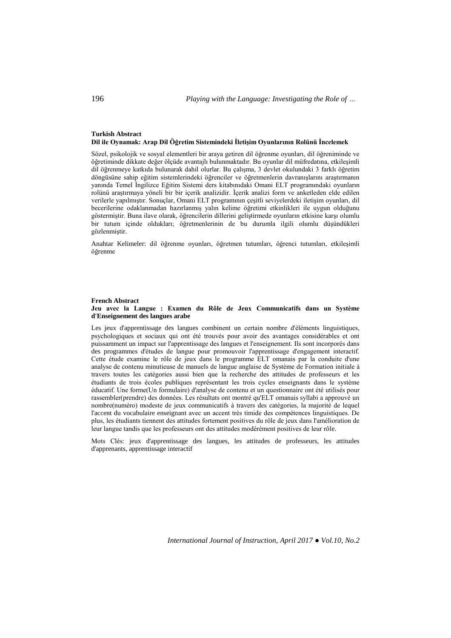#### **Turkish Abstract Dil ile Oynamak: Arap Dil Öğretim Sistemindeki İletişim Oyunlarının Rolünü İncelemek**

Sözel, psikolojik ve sosyal elementleri bir araya getiren dil öğrenme oyunları, dil öğreniminde ve öğretiminde dikkate değer ölçüde avantajlı bulunmaktadır. Bu oyunlar dil müfredatına, etkileşimli dil öğrenmeye katkıda bulunarak dahil olurlar. Bu çalışma, 3 devlet okulundaki 3 farklı öğretim döngüsüne sahip eğitim sistemlerindeki öğrenciler ve öğretmenlerin davranışlarını araştırmanın yanında Temel İngilizce Eğitim Sistemi ders kitabınıdaki Omani ELT programındaki oyunların rolünü araştırmaya yöneli bir bir içerik analizidir. İçerik analizi form ve anketleden elde edilen verilerle yapılmıştır. Sonuçlar, Omani ELT programının çeşitli seviyelerdeki iletişim oyunları, dil becerilerine odaklanmadan hazırlanmış yalın kelime öğretimi etkinlikleri ile uygun olduğunu göstermiştir. Buna ilave olarak, öğrencilerin dillerini geliştirmede oyunların etkisine karşı olumlu bir tutum içinde oldukları; öğretmenlerinin de bu durumla ilgili olumlu düşündükleri gözlenmiştir.

Anahtar Kelimeler: dil öğrenme oyunları, öğretmen tutumları, öğrenci tutumları, etkileşimli öğrenme

#### **French Abstract**

#### **Jeu avec la Langue : Examen du Rôle de Jeux Communicatifs dans un Système d'Enseignement des langues arabe**

Les jeux d'apprentissage des langues combinent un certain nombre d'éléments linguistiques, psychologiques et sociaux qui ont été trouvés pour avoir des avantages considérables et ont puissamment un impact sur l'apprentissage des langues et l'enseignement. Ils sont incorporés dans des programmes d'études de langue pour promouvoir l'apprentissage d'engagement interactif. Cette étude examine le rôle de jeux dans le programme ELT omanais par la conduite d'une analyse de contenu minutieuse de manuels de langue anglaise de Système de Formation initiale à travers toutes les catégories aussi bien que la recherche des attitudes de professeurs et les étudiants de trois écoles publiques représentant les trois cycles enseignants dans le système éducatif. Une forme(Un formulaire) d'analyse de contenu et un questionnaire ont été utilisés pour rassembler(prendre) des données. Les résultats ont montré qu'ELT omanais syllabi a approuvé un nombre(numéro) modeste de jeux communicatifs à travers des catégories, la majorité de lequel l'accent du vocabulaire enseignant avec un accent très timide des compétences linguistiques. De plus, les étudiants tiennent des attitudes fortement positives du rôle de jeux dans l'amélioration de leur langue tandis que les professeurs ont des attitudes modérément positives de leur rôle.

Mots Clés: jeux d'apprentissage des langues, les attitudes de professeurs, les attitudes d'apprenants, apprentissage interactif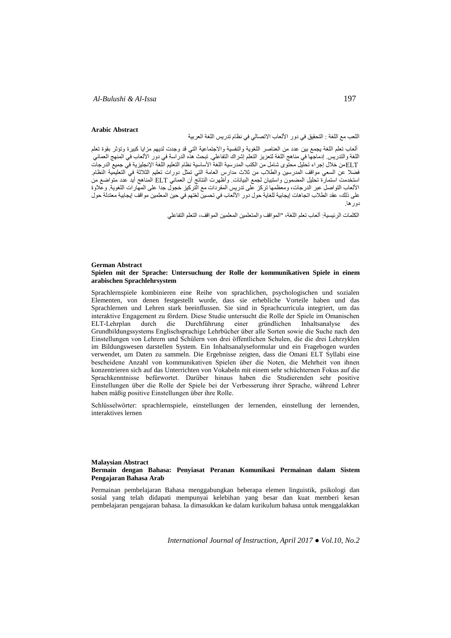## **Arabic Abstract**

اللعب مع اللغة : التحقيق في دور األلعاب االتصالي في نظام تدريس اللغة العربية

ألعاب تعلم اللغة يجمع بين عدد من العناصر اللغوية والنفسية واالجتماعية التي قد وجدت لديهم مزايا كبيرة وتؤثر بقوة تعلم اللغة والتدريس. إدماجها في مناهج اللغة لتعزيز التعلم إشراك التفاعلي. تبحث هذه الدراسة في دور األلعاب في المنهج العماني ELTمن خالل إجراء تحليل محتوى شامل من الكتب المدرسية اللغة األساسية نظام التعليم اللغة اإلنجليزية في جميع الدرجات فضال عن السعي مواقف المدرسين والطالب من ثالث مدارس العامة التي تمثل دورات تعليم الثالثة في التعليمية النظام. استخدمت استمارة تحليل المضمون واستبيان لجمع البيانات. وأظهرت النتائج أن العماني ELT المناهج أيد عدد متواضع من األلعاب التواصل عبر الدرجات، ومعظمها تركز على تدريس المفردات مع التركيز خجول جدا على المهارات اللغوية. وعالوة على ذلك، عقد الطالب اتجاهات إيجابية للغاية حول دور األلعاب في تحسين لغتهم في حين المعلمين مواقف إيجابية معتدلة حول دورها.

الكلمات الرئيسية: ألعاب تعلم اللغة، "المواقف والمتعلمين المعلمين المواقف، التعلم التفاعلي

#### **German Abstract Spielen mit der Sprache: Untersuchung der Rolle der kommunikativen Spiele in einem arabischen Sprachlehrsystem**

Sprachlernspiele kombinieren eine Reihe von sprachlichen, psychologischen und sozialen Elementen, von denen festgestellt wurde, dass sie erhebliche Vorteile haben und das Sprachlernen und Lehren stark beeinflussen. Sie sind in Sprachcurricula integriert, um das interaktive Engagement zu fördern. Diese Studie untersucht die Rolle der Spiele im Omanischen durch die Durchführung einer gründlichen Inhaltsanalyse des Grundbildungssystems Englischsprachige Lehrbücher über alle Sorten sowie die Suche nach den Einstellungen von Lehrern und Schülern von drei öffentlichen Schulen, die die drei Lehrzyklen im Bildungswesen darstellen System. Ein Inhaltsanalyseformular und ein Fragebogen wurden verwendet, um Daten zu sammeln. Die Ergebnisse zeigten, dass die Omani ELT Syllabi eine bescheidene Anzahl von kommunikativen Spielen über die Noten, die Mehrheit von ihnen konzentrieren sich auf das Unterrichten von Vokabeln mit einem sehr schüchternen Fokus auf die Sprachkenntnisse befürwortet. Darüber hinaus haben die Studierenden sehr positive Einstellungen über die Rolle der Spiele bei der Verbesserung ihrer Sprache, während Lehrer haben mäßig positive Einstellungen über ihre Rolle.

Schlüsselwörter: sprachlernspiele, einstellungen der lernenden, einstellung der lernenden, interaktives lernen

#### **Malaysian Abstract Bermain dengan Bahasa: Penyiasat Peranan Komunikasi Permainan dalam Sistem Pengajaran Bahasa Arab**

Permainan pembelajaran Bahasa menggabungkan beberapa elemen linguistik, psikologi dan sosial yang telah didapati mempunyai kelebihan yang besar dan kuat memberi kesan pembelajaran pengajaran bahasa. Ia dimasukkan ke dalam kurikulum bahasa untuk menggalakkan